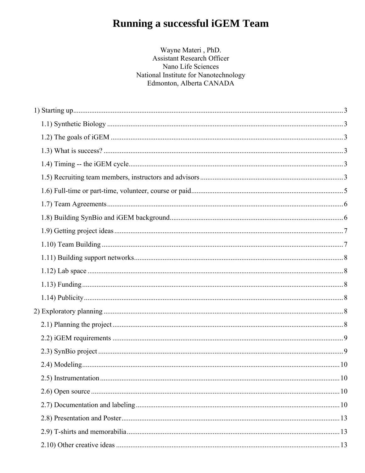# Running a successful iGEM Team

Wayne Materi, PhD. **Assistant Research Officer** Nano Life Sciences National Institute for Nanotechnology Edmonton, Alberta CANADA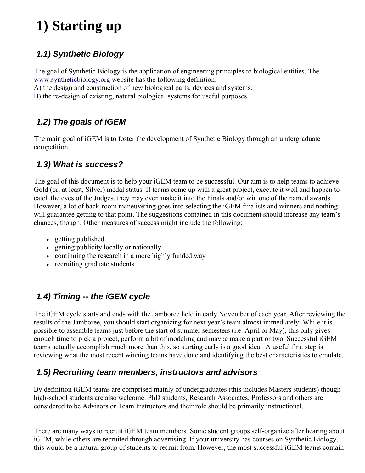# **1) Starting up**

# *1.1) Synthetic Biology*

The goal of Synthetic Biology is the application of engineering principles to biological entities. The www.syntheticbiology.org website has the following definition:

A) the design and construction of new biological parts, devices and systems.

B) the re-design of existing, natural biological systems for useful purposes.

# *1.2) The goals of iGEM*

The main goal of iGEM is to foster the development of Synthetic Biology through an undergraduate competition.

### *1.3) What is success?*

The goal of this document is to help your iGEM team to be successful. Our aim is to help teams to achieve Gold (or, at least, Silver) medal status. If teams come up with a great project, execute it well and happen to catch the eyes of the Judges, they may even make it into the Finals and/or win one of the named awards. However, a lot of back-room maneuvering goes into selecting the iGEM finalists and winners and nothing will guarantee getting to that point. The suggestions contained in this document should increase any team's chances, though. Other measures of success might include the following:

- getting published
- getting publicity locally or nationally
- continuing the research in a more highly funded way
- recruiting graduate students

# *1.4) Timing -- the iGEM cycle*

The iGEM cycle starts and ends with the Jamboree held in early November of each year. After reviewing the results of the Jamboree, you should start organizing for next year's team almost immediately. While it is possible to assemble teams just before the start of summer semesters (i.e. April or May), this only gives enough time to pick a project, perform a bit of modeling and maybe make a part or two. Successful iGEM teams actually accomplish much more than this, so starting early is a good idea. A useful first step is reviewing what the most recent winning teams have done and identifying the best characteristics to emulate.

# *1.5) Recruiting team members, instructors and advisors*

By definition iGEM teams are comprised mainly of undergraduates (this includes Masters students) though high-school students are also welcome. PhD students, Research Associates, Professors and others are considered to be Advisors or Team Instructors and their role should be primarily instructional.

There are many ways to recruit iGEM team members. Some student groups self-organize after hearing about iGEM, while others are recruited through advertising. If your university has courses on Synthetic Biology, this would be a natural group of students to recruit from. However, the most successful iGEM teams contain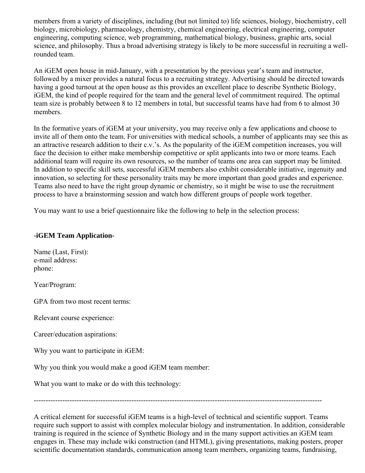members from a variety of disciplines, including (but not limited to) life sciences, biology, biochemistry, cell biology, microbiology, pharmacology, chemistry, chemical engineering, electrical engineering, computer engineering, computing science, web programming, mathematical biology, business, graphic arts, social science, and philosophy. Thus a broad advertising strategy is likely to be more successful in recruiting a wellrounded team.

An iGEM open house in mid-January, with a presentation by the previous year's team and instructor, followed by a mixer provides a natural focus to a recruiting strategy. Advertising should be directed towards having a good turnout at the open house as this provides an excellent place to describe Synthetic Biology, iGEM, the kind of people required for the team and the general level of commitment required. The optimal team size is probably between 8 to 12 members in total, but successful teams have had from 6 to almost 30 members.

In the formative years of iGEM at your university, you may receive only a few applications and choose to invite all of them onto the team. For universities with medical schools, a number of applicants may see this as an attractive research addition to their c.v.'s. As the popularity of the iGEM competition increases, you will face the decision to either make membership competitive or split applicants into two or more teams. Each additional team will require its own resources, so the number of teams one area can support may be limited. In addition to specific skill sets, successful iGEM members also exhibit considerable initiative, ingenuity and innovation, so selecting for these personality traits may be more important than good grades and experience. Teams also need to have the right group dynamic or chemistry, so it might be wise to use the recruitment process to have a brainstorming session and watch how different groups of people work together.

You may want to use a brief questionnaire like the following to help in the selection process:

#### **-iGEM Team Application-**

Name (Last, First): e-mail address: phone:

Year/Program:

GPA from two most recent terms:

Relevant course experience:

Career/education aspirations:

Why you want to participate in iGEM:

Why you think you would make a good iGEM team member:

What you want to make or do with this technology:

-------------------------------------------------------------------------------------------------------------------------

A critical element for successful iGEM teams is a high-level of technical and scientific support. Teams require such support to assist with complex molecular biology and instrumentation. In addition, considerable training is required in the science of Synthetic Biology and in the many support activities an iGEM team engages in. These may include wiki construction (and HTML), giving presentations, making posters, proper scientific documentation standards, communication among team members, organizing teams, fundraising,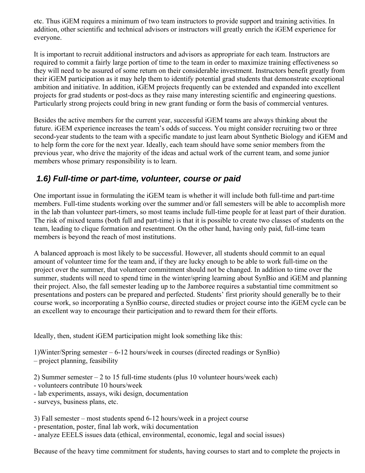etc. Thus iGEM requires a minimum of two team instructors to provide support and training activities. In addition, other scientific and technical advisors or instructors will greatly enrich the iGEM experience for everyone.

It is important to recruit additional instructors and advisors as appropriate for each team. Instructors are required to commit a fairly large portion of time to the team in order to maximize training effectiveness so they will need to be assured of some return on their considerable investment. Instructors benefit greatly from their iGEM participation as it may help them to identify potential grad students that demonstrate exceptional ambition and initiative. In addition, iGEM projects frequently can be extended and expanded into excellent projects for grad students or post-docs as they raise many interesting scientific and engineering questions. Particularly strong projects could bring in new grant funding or form the basis of commercial ventures.

Besides the active members for the current year, successful iGEM teams are always thinking about the future. iGEM experience increases the team's odds of success. You might consider recruiting two or three second-year students to the team with a specific mandate to just learn about Synthetic Biology and iGEM and to help form the core for the next year. Ideally, each team should have some senior members from the previous year, who drive the majority of the ideas and actual work of the current team, and some junior members whose primary responsibility is to learn.

#### *1.6) Full-time or part-time, volunteer, course or paid*

One important issue in formulating the iGEM team is whether it will include both full-time and part-time members. Full-time students working over the summer and/or fall semesters will be able to accomplish more in the lab than volunteer part-timers, so most teams include full-time people for at least part of their duration. The risk of mixed teams (both full and part-time) is that it is possible to create two classes of students on the team, leading to clique formation and resentment. On the other hand, having only paid, full-time team members is beyond the reach of most institutions.

A balanced approach is most likely to be successful. However, all students should commit to an equal amount of volunteer time for the team and, if they are lucky enough to be able to work full-time on the project over the summer, that volunteer commitment should not be changed. In addition to time over the summer, students will need to spend time in the winter/spring learning about SynBio and iGEM and planning their project. Also, the fall semester leading up to the Jamboree requires a substantial time commitment so presentations and posters can be prepared and perfected. Students' first priority should generally be to their course work, so incorporating a SynBio course, directed studies or project course into the iGEM cycle can be an excellent way to encourage their participation and to reward them for their efforts.

Ideally, then, student iGEM participation might look something like this:

1)Winter/Spring semester – 6-12 hours/week in courses (directed readings or SynBio) – project planning, feasibility

2) Summer semester – 2 to 15 full-time students (plus 10 volunteer hours/week each)

- volunteers contribute 10 hours/week

- lab experiments, assays, wiki design, documentation
- surveys, business plans, etc.

3) Fall semester – most students spend 6-12 hours/week in a project course

- presentation, poster, final lab work, wiki documentation

- analyze EEELS issues data (ethical, environmental, economic, legal and social issues)

Because of the heavy time commitment for students, having courses to start and to complete the projects in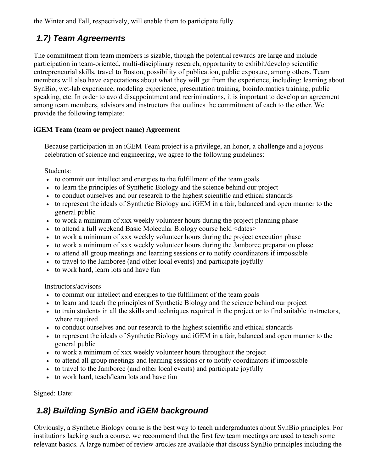the Winter and Fall, respectively, will enable them to participate fully.

# *1.7) Team Agreements*

The commitment from team members is sizable, though the potential rewards are large and include participation in team-oriented, multi-disciplinary research, opportunity to exhibit/develop scientific entrepreneurial skills, travel to Boston, possibility of publication, public exposure, among others. Team members will also have expectations about what they will get from the experience, including: learning about SynBio, wet-lab experience, modeling experience, presentation training, bioinformatics training, public speaking, etc. In order to avoid disappointment and recriminations, it is important to develop an agreement among team members, advisors and instructors that outlines the commitment of each to the other. We provide the following template:

#### **iGEM Team (team or project name) Agreement**

Because participation in an iGEM Team project is a privilege, an honor, a challenge and a joyous celebration of science and engineering, we agree to the following guidelines:

Students:

- to commit our intellect and energies to the fulfillment of the team goals
- to learn the principles of Synthetic Biology and the science behind our project
- to conduct ourselves and our research to the highest scientific and ethical standards
- to represent the ideals of Synthetic Biology and iGEM in a fair, balanced and open manner to the general public
- to work a minimum of xxx weekly volunteer hours during the project planning phase
- to attend a full weekend Basic Molecular Biology course held <dates>
- to work a minimum of xxx weekly volunteer hours during the project execution phase
- to work a minimum of xxx weekly volunteer hours during the Jamboree preparation phase
- to attend all group meetings and learning sessions or to notify coordinators if impossible
- to travel to the Jamboree (and other local events) and participate joyfully
- to work hard, learn lots and have fun

Instructors/advisors

- to commit our intellect and energies to the fulfillment of the team goals
- to learn and teach the principles of Synthetic Biology and the science behind our project
- to train students in all the skills and techniques required in the project or to find suitable instructors, where required
- to conduct ourselves and our research to the highest scientific and ethical standards
- to represent the ideals of Synthetic Biology and iGEM in a fair, balanced and open manner to the general public
- to work a minimum of xxx weekly volunteer hours throughout the project
- to attend all group meetings and learning sessions or to notify coordinators if impossible
- to travel to the Jamboree (and other local events) and participate joyfully
- to work hard, teach/learn lots and have fun

Signed: Date:

# *1.8) Building SynBio and iGEM background*

Obviously, a Synthetic Biology course is the best way to teach undergraduates about SynBio principles. For institutions lacking such a course, we recommend that the first few team meetings are used to teach some relevant basics. A large number of review articles are available that discuss SynBio principles including the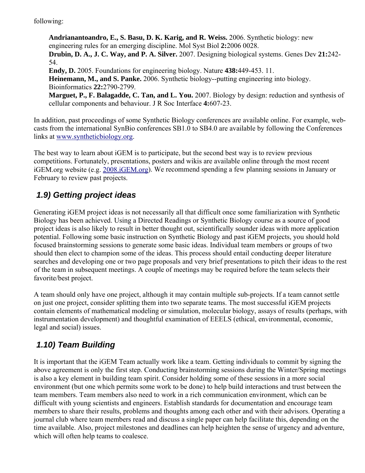following:

**Andrianantoandro, E., S. Basu, D. K. Karig, and R. Weiss.** 2006. Synthetic biology: new engineering rules for an emerging discipline. Mol Syst Biol **2:**2006 0028. **Drubin, D. A., J. C. Way, and P. A. Silver.** 2007. Designing biological systems. Genes Dev **21:**242- 54. **Endy, D.** 2005. Foundations for engineering biology. Nature **438:**449-453. 11. **Heinemann, M., and S. Panke.** 2006. Synthetic biology--putting engineering into biology. Bioinformatics **22:**2790-2799. **Marguet, P., F. Balagadde, C. Tan, and L. You.** 2007. Biology by design: reduction and synthesis of cellular components and behaviour. J R Soc Interface **4:**607-23.

In addition, past proceedings of some Synthetic Biology conferences are available online. For example, webcasts from the international SynBio conferences SB1.0 to SB4.0 are available by following the Conferences links at www.syntheticbiology.org.

The best way to learn about iGEM is to participate, but the second best way is to review previous competitions. Fortunately, presentations, posters and wikis are available online through the most recent iGEM.org website (e.g. 2008.iGEM.org). We recommend spending a few planning sessions in January or February to review past projects.

# *1.9) Getting project ideas*

Generating iGEM project ideas is not necessarily all that difficult once some familiarization with Synthetic Biology has been achieved. Using a Directed Readings or Synthetic Biology course as a source of good project ideas is also likely to result in better thought out, scientifically sounder ideas with more application potential. Following some basic instruction on Synthetic Biology and past iGEM projects, you should hold focused brainstorming sessions to generate some basic ideas. Individual team members or groups of two should then elect to champion some of the ideas. This process should entail conducting deeper literature searches and developing one or two page proposals and very brief presentations to pitch their ideas to the rest of the team in subsequent meetings. A couple of meetings may be required before the team selects their favorite/best project.

A team should only have one project, although it may contain multiple sub-projects. If a team cannot settle on just one project, consider splitting them into two separate teams. The most successful iGEM projects contain elements of mathematical modeling or simulation, molecular biology, assays of results (perhaps, with instrumentation development) and thoughtful examination of EEELS (ethical, environmental, economic, legal and social) issues.

# *1.10) Team Building*

It is important that the iGEM Team actually work like a team. Getting individuals to commit by signing the above agreement is only the first step. Conducting brainstorming sessions during the Winter/Spring meetings is also a key element in building team spirit. Consider holding some of these sessions in a more social environment (but one which permits some work to be done) to help build interactions and trust between the team members. Team members also need to work in a rich communication environment, which can be difficult with young scientists and engineers. Establish standards for documentation and encourage team members to share their results, problems and thoughts among each other and with their advisors. Operating a journal club where team members read and discuss a single paper can help facilitate this, depending on the time available. Also, project milestones and deadlines can help heighten the sense of urgency and adventure, which will often help teams to coalesce.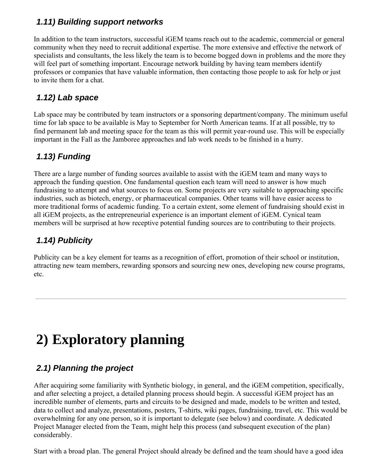### *1.11) Building support networks*

In addition to the team instructors, successful iGEM teams reach out to the academic, commercial or general community when they need to recruit additional expertise. The more extensive and effective the network of specialists and consultants, the less likely the team is to become bogged down in problems and the more they will feel part of something important. Encourage network building by having team members identify professors or companies that have valuable information, then contacting those people to ask for help or just to invite them for a chat.

### *1.12) Lab space*

Lab space may be contributed by team instructors or a sponsoring department/company. The minimum useful time for lab space to be available is May to September for North American teams. If at all possible, try to find permanent lab and meeting space for the team as this will permit year-round use. This will be especially important in the Fall as the Jamboree approaches and lab work needs to be finished in a hurry.

#### *1.13) Funding*

There are a large number of funding sources available to assist with the iGEM team and many ways to approach the funding question. One fundamental question each team will need to answer is how much fundraising to attempt and what sources to focus on. Some projects are very suitable to approaching specific industries, such as biotech, energy, or pharmaceutical companies. Other teams will have easier access to more traditional forms of academic funding. To a certain extent, some element of fundraising should exist in all iGEM projects, as the entrepreneurial experience is an important element of iGEM. Cynical team members will be surprised at how receptive potential funding sources are to contributing to their projects.

# *1.14) Publicity*

Publicity can be a key element for teams as a recognition of effort, promotion of their school or institution, attracting new team members, rewarding sponsors and sourcing new ones, developing new course programs, etc.

# **2) Exploratory planning**

# *2.1) Planning the project*

After acquiring some familiarity with Synthetic biology, in general, and the iGEM competition, specifically, and after selecting a project, a detailed planning process should begin. A successful iGEM project has an incredible number of elements, parts and circuits to be designed and made, models to be written and tested, data to collect and analyze, presentations, posters, T-shirts, wiki pages, fundraising, travel, etc. This would be overwhelming for any one person, so it is important to delegate (see below) and coordinate. A dedicated Project Manager elected from the Team, might help this process (and subsequent execution of the plan) considerably.

Start with a broad plan. The general Project should already be defined and the team should have a good idea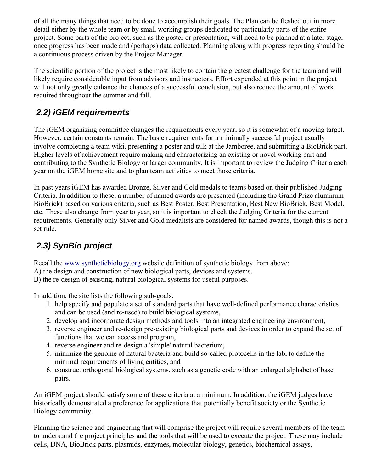of all the many things that need to be done to accomplish their goals. The Plan can be fleshed out in more detail either by the whole team or by small working groups dedicated to particularly parts of the entire project. Some parts of the project, such as the poster or presentation, will need to be planned at a later stage, once progress has been made and (perhaps) data collected. Planning along with progress reporting should be a continuous process driven by the Project Manager.

The scientific portion of the project is the most likely to contain the greatest challenge for the team and will likely require considerable input from advisors and instructors. Effort expended at this point in the project will not only greatly enhance the chances of a successful conclusion, but also reduce the amount of work required throughout the summer and fall.

# *2.2) iGEM requirements*

The iGEM organizing committee changes the requirements every year, so it is somewhat of a moving target. However, certain constants remain. The basic requirements for a minimally successful project usually involve completing a team wiki, presenting a poster and talk at the Jamboree, and submitting a BioBrick part. Higher levels of achievement require making and characterizing an existing or novel working part and contributing to the Synthetic Biology or larger community. It is important to review the Judging Criteria each year on the iGEM home site and to plan team activities to meet those criteria.

In past years iGEM has awarded Bronze, Silver and Gold medals to teams based on their published Judging Criteria. In addition to these, a number of named awards are presented (including the Grand Prize aluminum BioBrick) based on various criteria, such as Best Poster, Best Presentation, Best New BioBrick, Best Model, etc. These also change from year to year, so it is important to check the Judging Criteria for the current requirements. Generally only Silver and Gold medalists are considered for named awards, though this is not a set rule.

# *2.3) SynBio project*

Recall the www.syntheticbiology.org website definition of synthetic biology from above:

A) the design and construction of new biological parts, devices and systems.

B) the re-design of existing, natural biological systems for useful purposes.

In addition, the site lists the following sub-goals:

- 1. help specify and populate a set of standard parts that have well-defined performance characteristics and can be used (and re-used) to build biological systems,
- 2. develop and incorporate design methods and tools into an integrated engineering environment,
- 3. reverse engineer and re-design pre-existing biological parts and devices in order to expand the set of functions that we can access and program,
- 4. reverse engineer and re-design a 'simple' natural bacterium,
- 5. minimize the genome of natural bacteria and build so-called protocells in the lab, to define the minimal requirements of living entities, and
- 6. construct orthogonal biological systems, such as a genetic code with an enlarged alphabet of base pairs.

An iGEM project should satisfy some of these criteria at a minimum. In addition, the iGEM judges have historically demonstrated a preference for applications that potentially benefit society or the Synthetic Biology community.

Planning the science and engineering that will comprise the project will require several members of the team to understand the project principles and the tools that will be used to execute the project. These may include cells, DNA, BioBrick parts, plasmids, enzymes, molecular biology, genetics, biochemical assays,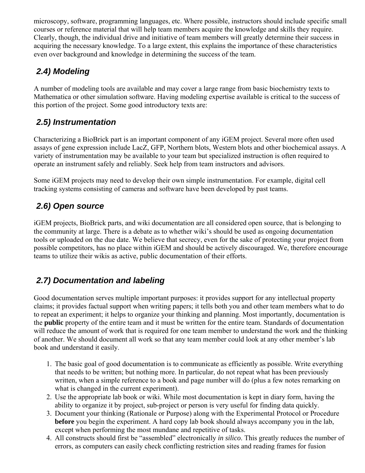microscopy, software, programming languages, etc. Where possible, instructors should include specific small courses or reference material that will help team members acquire the knowledge and skills they require. Clearly, though, the individual drive and initiative of team members will greatly determine their success in acquiring the necessary knowledge. To a large extent, this explains the importance of these characteristics even over background and knowledge in determining the success of the team.

# *2.4) Modeling*

A number of modeling tools are available and may cover a large range from basic biochemistry texts to Mathematica or other simulation software. Having modeling expertise available is critical to the success of this portion of the project. Some good introductory texts are:

# *2.5) Instrumentation*

Characterizing a BioBrick part is an important component of any iGEM project. Several more often used assays of gene expression include LacZ, GFP, Northern blots, Western blots and other biochemical assays. A variety of instrumentation may be available to your team but specialized instruction is often required to operate an instrument safely and reliably. Seek help from team instructors and advisors.

Some iGEM projects may need to develop their own simple instrumentation. For example, digital cell tracking systems consisting of cameras and software have been developed by past teams.

# *2.6) Open source*

iGEM projects, BioBrick parts, and wiki documentation are all considered open source, that is belonging to the community at large. There is a debate as to whether wiki's should be used as ongoing documentation tools or uploaded on the due date. We believe that secrecy, even for the sake of protecting your project from possible competitors, has no place within iGEM and should be actively discouraged. We, therefore encourage teams to utilize their wikis as active, public documentation of their efforts.

# *2.7) Documentation and labeling*

Good documentation serves multiple important purposes: it provides support for any intellectual property claims; it provides factual support when writing papers; it tells both you and other team members what to do to repeat an experiment; it helps to organize your thinking and planning. Most importantly, documentation is the **public** property of the entire team and it must be written for the entire team. Standards of documentation will reduce the amount of work that is required for one team member to understand the work and the thinking of another. We should document all work so that any team member could look at any other member's lab book and understand it easily.

- 1. The basic goal of good documentation is to communicate as efficiently as possible. Write everything that needs to be written; but nothing more. In particular, do not repeat what has been previously written, when a simple reference to a book and page number will do (plus a few notes remarking on what is changed in the current experiment).
- 2. Use the appropriate lab book or wiki. While most documentation is kept in diary form, having the ability to organize it by project, sub-project or person is very useful for finding data quickly.
- 3. Document your thinking (Rationale or Purpose) along with the Experimental Protocol or Procedure **before** you begin the experiment. A hard copy lab book should always accompany you in the lab, except when performing the most mundane and repetitive of tasks.
- 4. All constructs should first be "assembled" electronically *in silico*. This greatly reduces the number of errors, as computers can easily check conflicting restriction sites and reading frames for fusion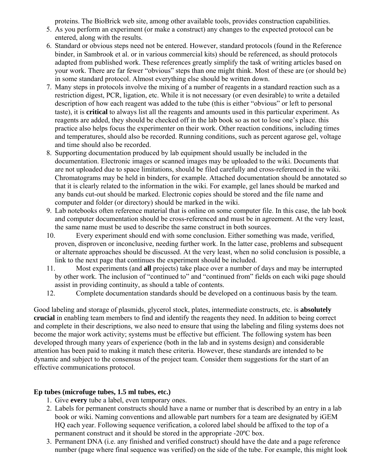proteins. The BioBrick web site, among other available tools, provides construction capabilities.

- 5. As you perform an experiment (or make a construct) any changes to the expected protocol can be entered, along with the results.
- 6. Standard or obvious steps need not be entered. However, standard protocols (found in the Reference binder, in Sambrook et al. or in various commercial kits) should be referenced, as should protocols adapted from published work. These references greatly simplify the task of writing articles based on your work. There are far fewer "obvious" steps than one might think. Most of these are (or should be) in some standard protocol. Almost everything else should be written down.
- 7. Many steps in protocols involve the mixing of a number of reagents in a standard reaction such as a restriction digest, PCR, ligation, etc. While it is not necessary (or even desirable) to write a detailed description of how each reagent was added to the tube (this is either "obvious" or left to personal taste), it is **critical** to always list all the reagents and amounts used in this particular experiment. As reagents are added, they should be checked off in the lab book so as not to lose one's place. this practice also helps focus the experimenter on their work. Other reaction conditions, including times and temperatures, should also be recorded. Running conditions, such as percent agarose gel, voltage and time should also be recorded.
- 8. Supporting documentation produced by lab equipment should usually be included in the documentation. Electronic images or scanned images may be uploaded to the wiki. Documents that are not uploaded due to space limitations, should be filed carefully and cross-referenced in the wiki. Chromatograms may be held in binders, for example. Attached documentation should be annotated so that it is clearly related to the information in the wiki. For example, gel lanes should be marked and any bands cut-out should be marked. Electronic copies should be stored and the file name and computer and folder (or directory) should be marked in the wiki.
- 9. Lab notebooks often reference material that is online on some computer file. In this case, the lab book and computer documentation should be cross-referenced and must be in agreement. At the very least, the same name must be used to describe the same construct in both sources.
- 10. Every experiment should end with some conclusion. Either something was made, verified, proven, disproven or inconclusive, needing further work. In the latter case, problems and subsequent or alternate approaches should be discussed. At the very least, when no solid conclusion is possible, a link to the next page that continues the experiment should be included.
- 11. Most experiments (and **all** projects) take place over a number of days and may be interrupted by other work. The inclusion of "continued to" and "continued from" fields on each wiki page should assist in providing continuity, as should a table of contents.
- 12. Complete documentation standards should be developed on a continuous basis by the team.

Good labeling and storage of plasmids, glycerol stock, plates, intermediate constructs, etc. is **absolutely crucial** in enabling team members to find and identify the reagents they need. In addition to being correct and complete in their descriptions, we also need to ensure that using the labeling and filing systems does not become the major work activity; systems must be effective but efficient. The following system has been developed through many years of experience (both in the lab and in systems design) and considerable attention has been paid to making it match these criteria. However, these standards are intended to be dynamic and subject to the consensus of the project team. Consider them suggestions for the start of an effective communications protocol.

#### **Ep tubes (microfuge tubes, 1.5 ml tubes, etc.)**

- 1. Give **every** tube a label, even temporary ones.
- 2. Labels for permanent constructs should have a name or number that is described by an entry in a lab book or wiki. Naming conventions and allowable part numbers for a team are designated by iGEM HQ each year. Following sequence verification, a colored label should be affixed to the top of a permanent construct and it should be stored in the appropriate -20ºC box.
- 3. Permanent DNA (i.e. any finished and verified construct) should have the date and a page reference number (page where final sequence was verified) on the side of the tube. For example, this might look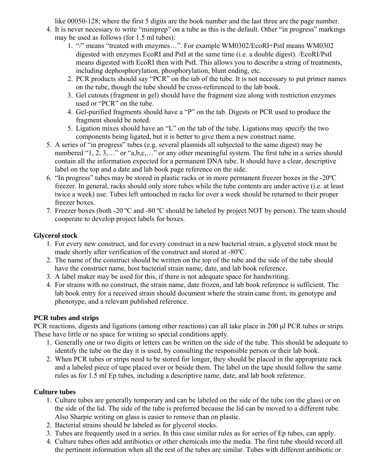like 00050-128; where the first 5 digits are the book number and the last three are the page number.

- 4. It is never necessary to write "miniprep" on a tube as this is the default. Other "in progress" markings may be used as follows (for 1.5 ml tubes):
	- 1. "/" means "treated with enzymes…". For example WM0302/EcoRI+PstI means WM0302 digested with enzymes EcoRI and PstI at the same time (i.e. a double digest). /EcoRI/PstI means digested with EcoRI then with PstI. This allows you to describe a string of treatments, including dephosphorylation, phosphorylation, blunt ending, etc.
	- 2. PCR products should say "PCR" on the tab of the tube. It is not necessary to put primer names on the tube, though the tube should be cross-referenced to the lab book.
	- 3. Gel cutouts (fragment in gel) should have the fragment size along with restriction enzymes used or "PCR" on the tube.
	- 4. Gel-purified fragments should have a "P" on the tab. Digests or PCR used to produce the fragment should be noted.
	- 5. Ligation mixes should have an "L" on the tab of the tube. Ligations may specify the two components being ligated, but it is better to give them a new construct name.
- 5. A series of "in progress" tubes (e.g. several plasmids all subjected to the same digest) may be numbered "1, 2, 3,..." or "a,b,c,..." or any other meaningful system. The first tube in a series should contain all the information expected for a permanent DNA tube. It should have a clear, descriptive label on the top and a date and lab book page reference on the side.
- 6. "In progress" tubes may be stored in plastic racks or in more permanent freezer boxes in the -20ºC freezer. In general, racks should only store tubes while the tube contents are under active (i.e. at least twice a week) use. Tubes left untouched in racks for over a week should be returned to their proper freezer boxes.
- 7. Freezer boxes (both -20 ºC and -80 ºC should be labeled by project NOT by person). The team should cooperate to develop project labels for boxes.

#### **Glycerol stock**

- 1. For every new construct, and for every construct in a new bacterial strain, a glycerol stock must be made shortly after verification of the construct and stored at -80ºC.
- 2. The name of the construct should be written on the top of the tube and the side of the tube should have the construct name, host bacterial strain name, date, and lab book reference.
- 3. A label maker may be used for this, if there is not adequate space for handwriting.
- 4. For strains with no construct, the strain name, date frozen, and lab book reference is sufficient. The lab book entry for a received strain should document where the strain came from, its genotype and phenotype, and a relevant published reference.

#### **PCR tubes and strips**

PCR reactions, digests and ligations (among other reactions) can all take place in 200 μl PCR tubes or strips. These have little or no space for writing so special conditions apply.

- 1. Generally one or two digits or letters can be written on the side of the tube. This should be adequate to identify the tube on the day it is used, by consulting the responsible person or their lab book.
- 2. When PCR tubes or strips need to be stored for longer, they should be placed in the appropriate rack and a labeled piece of tape placed over or beside them. The label on the tape should follow the same rules as for 1.5 ml Ep tubes, including a descriptive name, date, and lab book reference.

#### **Culture tubes**

- 1. Culture tubes are generally temporary and can be labeled on the side of the tube (on the glass) or on the side of the lid. The side of the tube is preferred because the lid can be moved to a different tube. Also Sharpie writing on glass is easier to remove than on plastic.
- 2. Bacterial strains should be labeled as for glycerol stocks.
- 3. Tubes are frequently used in a series. In this case similar rules as for series of Ep tubes, can apply.
- 4. Culture tubes often add antibiotics or other chemicals into the media. The first tube should record all the pertinent information when all the rest of the tubes are similar. Tubes with different antibiotic or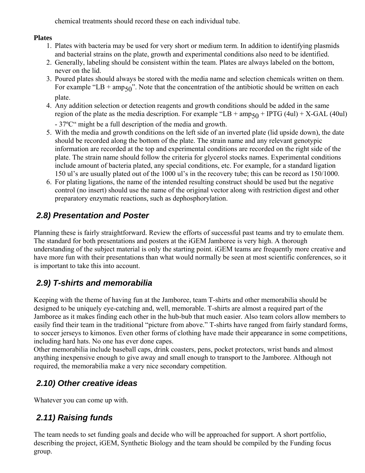chemical treatments should record these on each individual tube.

#### **Plates**

- 1. Plates with bacteria may be used for very short or medium term. In addition to identifying plasmids and bacterial strains on the plate, growth and experimental conditions also need to be identified.
- 2. Generally, labeling should be consistent within the team. Plates are always labeled on the bottom, never on the lid.
- 3. Poured plates should always be stored with the media name and selection chemicals written on them. For example "LB +  $amp50$ ". Note that the concentration of the antibiotic should be written on each plate.
- 4. Any addition selection or detection reagents and growth conditions should be added in the same region of the plate as the media description. For example "LB +  $amp50 + 1PTG$  (4ul) + X-GAL (40ul)

- 37ºC" might be a full description of the media and growth.

- 5. With the media and growth conditions on the left side of an inverted plate (lid upside down), the date should be recorded along the bottom of the plate. The strain name and any relevant genotypic information are recorded at the top and experimental conditions are recorded on the right side of the plate. The strain name should follow the criteria for glycerol stocks names. Experimental conditions include amount of bacteria plated, any special conditions, etc. For example, for a standard ligation 150 ul's are usually plated out of the 1000 ul's in the recovery tube; this can be record as 150/1000.
- 6. For plating ligations, the name of the intended resulting construct should be used but the negative control (no insert) should use the name of the original vector along with restriction digest and other preparatory enzymatic reactions, such as dephosphorylation.

# *2.8) Presentation and Poster*

Planning these is fairly straightforward. Review the efforts of successful past teams and try to emulate them. The standard for both presentations and posters at the iGEM Jamboree is very high. A thorough understanding of the subject material is only the starting point. iGEM teams are frequently more creative and have more fun with their presentations than what would normally be seen at most scientific conferences, so it is important to take this into account.

# *2.9) T-shirts and memorabilia*

Keeping with the theme of having fun at the Jamboree, team T-shirts and other memorabilia should be designed to be uniquely eye-catching and, well, memorable. T-shirts are almost a required part of the Jamboree as it makes finding each other in the hub-bub that much easier. Also team colors allow members to easily find their team in the traditional "picture from above." T-shirts have ranged from fairly standard forms, to soccer jerseys to kimonos. Even other forms of clothing have made their appearance in some competitions, including hard hats. No one has ever done capes.

Other memorabilia include baseball caps, drink coasters, pens, pocket protectors, wrist bands and almost anything inexpensive enough to give away and small enough to transport to the Jamboree. Although not required, the memorabilia make a very nice secondary competition.

# *2.10) Other creative ideas*

Whatever you can come up with.

# *2.11) Raising funds*

The team needs to set funding goals and decide who will be approached for support. A short portfolio, describing the project, iGEM, Synthetic Biology and the team should be compiled by the Funding focus group.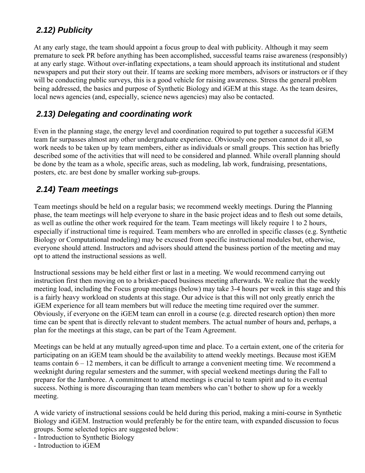# *2.12) Publicity*

At any early stage, the team should appoint a focus group to deal with publicity. Although it may seem premature to seek PR before anything has been accomplished, successful teams raise awareness (responsibly) at any early stage. Without over-inflating expectations, a team should approach its institutional and student newspapers and put their story out their. If teams are seeking more members, advisors or instructors or if they will be conducting public surveys, this is a good vehicle for raising awareness. Stress the general problem being addressed, the basics and purpose of Synthetic Biology and iGEM at this stage. As the team desires, local news agencies (and, especially, science news agencies) may also be contacted.

#### *2.13) Delegating and coordinating work*

Even in the planning stage, the energy level and coordination required to put together a successful iGEM team far surpasses almost any other undergraduate experience. Obviously one person cannot do it all, so work needs to be taken up by team members, either as individuals or small groups. This section has briefly described some of the activities that will need to be considered and planned. While overall planning should be done by the team as a whole, specific areas, such as modeling, lab work, fundraising, presentations, posters, etc. are best done by smaller working sub-groups.

# *2.14) Team meetings*

Team meetings should be held on a regular basis; we recommend weekly meetings. During the Planning phase, the team meetings will help everyone to share in the basic project ideas and to flesh out some details, as well as outline the other work required for the team. Team meetings will likely require 1 to 2 hours, especially if instructional time is required. Team members who are enrolled in specific classes (e.g. Synthetic Biology or Computational modeling) may be excused from specific instructional modules but, otherwise, everyone should attend. Instructors and advisors should attend the business portion of the meeting and may opt to attend the instructional sessions as well.

Instructional sessions may be held either first or last in a meeting. We would recommend carrying out instruction first then moving on to a brisker-paced business meeting afterwards. We realize that the weekly meeting load, including the Focus group meetings (below) may take 3-4 hours per week in this stage and this is a fairly heavy workload on students at this stage. Our advice is that this will not only greatly enrich the iGEM experience for all team members but will reduce the meeting time required over the summer. Obviously, if everyone on the iGEM team can enroll in a course (e.g. directed research option) then more time can be spent that is directly relevant to student members. The actual number of hours and, perhaps, a plan for the meetings at this stage, can be part of the Team Agreement.

Meetings can be held at any mutually agreed-upon time and place. To a certain extent, one of the criteria for participating on an iGEM team should be the availability to attend weekly meetings. Because most iGEM teams contain 6 – 12 members, it can be difficult to arrange a convenient meeting time. We recommend a weeknight during regular semesters and the summer, with special weekend meetings during the Fall to prepare for the Jamboree. A commitment to attend meetings is crucial to team spirit and to its eventual success. Nothing is more discouraging than team members who can't bother to show up for a weekly meeting.

A wide variety of instructional sessions could be held during this period, making a mini-course in Synthetic Biology and iGEM. Instruction would preferably be for the entire team, with expanded discussion to focus groups. Some selected topics are suggested below:

- Introduction to Synthetic Biology
- Introduction to iGEM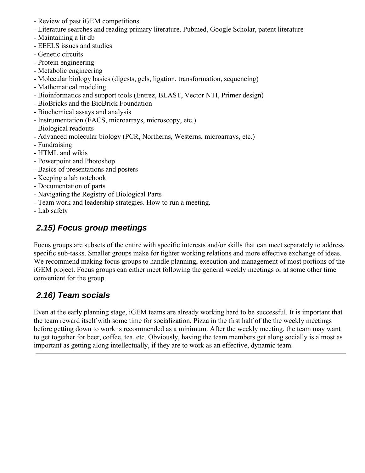- Review of past iGEM competitions
- Literature searches and reading primary literature. Pubmed, Google Scholar, patent literature
- Maintaining a lit db
- EEELS issues and studies
- Genetic circuits
- Protein engineering
- Metabolic engineering
- Molecular biology basics (digests, gels, ligation, transformation, sequencing)
- Mathematical modeling
- Bioinformatics and support tools (Entrez, BLAST, Vector NTI, Primer design)
- BioBricks and the BioBrick Foundation
- Biochemical assays and analysis
- Instrumentation (FACS, microarrays, microscopy, etc.)
- Biological readouts
- Advanced molecular biology (PCR, Northerns, Westerns, microarrays, etc.)
- Fundraising
- HTML and wikis
- Powerpoint and Photoshop
- Basics of presentations and posters
- Keeping a lab notebook
- Documentation of parts
- Navigating the Registry of Biological Parts
- Team work and leadership strategies. How to run a meeting.
- Lab safety

# *2.15) Focus group meetings*

Focus groups are subsets of the entire with specific interests and/or skills that can meet separately to address specific sub-tasks. Smaller groups make for tighter working relations and more effective exchange of ideas. We recommend making focus groups to handle planning, execution and management of most portions of the iGEM project. Focus groups can either meet following the general weekly meetings or at some other time convenient for the group.

# *2.16) Team socials*

Even at the early planning stage, iGEM teams are already working hard to be successful. It is important that the team reward itself with some time for socialization. Pizza in the first half of the the weekly meetings before getting down to work is recommended as a minimum. After the weekly meeting, the team may want to get together for beer, coffee, tea, etc. Obviously, having the team members get along socially is almost as important as getting along intellectually, if they are to work as an effective, dynamic team.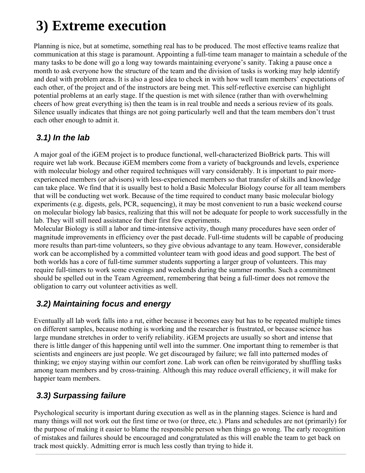# **3) Extreme execution**

Planning is nice, but at sometime, something real has to be produced. The most effective teams realize that communication at this stage is paramount. Appointing a full-time team manager to maintain a schedule of the many tasks to be done will go a long way towards maintaining everyone's sanity. Taking a pause once a month to ask everyone how the structure of the team and the division of tasks is working may help identify and deal with problem areas. It is also a good idea to check in with how well team members' expectations of each other, of the project and of the instructors are being met. This self-reflective exercise can highlight potential problems at an early stage. If the question is met with silence (rather than with overwhelming cheers of how great everything is) then the team is in real trouble and needs a serious review of its goals. Silence usually indicates that things are not going particularly well and that the team members don't trust each other enough to admit it.

### *3.1) In the lab*

A major goal of the iGEM project is to produce functional, well-characterized BioBrick parts. This will require wet lab work. Because iGEM members come from a variety of backgrounds and levels, experience with molecular biology and other required techniques will vary considerably. It is important to pair moreexperienced members (or advisors) with less-experienced members so that transfer of skills and knowledge can take place. We find that it is usually best to hold a Basic Molecular Biology course for all team members that will be conducting wet work. Because of the time required to conduct many basic molecular biology experiments (e.g. digests, gels, PCR, sequencing), it may be most convenient to run a basic weekend course on molecular biology lab basics, realizing that this will not be adequate for people to work successfully in the lab. They will still need assistance for their first few experiments.

Molecular Biology is still a labor and time-intensive activity, though many procedures have seen order of magnitude improvements in efficiency over the past decade. Full-time students will be capable of producing more results than part-time volunteers, so they give obvious advantage to any team. However, considerable work can be accomplished by a committed volunteer team with good ideas and good support. The best of both worlds has a core of full-time summer students supporting a larger group of volunteers. This may require full-timers to work some evenings and weekends during the summer months. Such a commitment should be spelled out in the Team Agreement, remembering that being a full-timer does not remove the obligation to carry out volunteer activities as well.

# *3.2) Maintaining focus and energy*

Eventually all lab work falls into a rut, either because it becomes easy but has to be repeated multiple times on different samples, because nothing is working and the researcher is frustrated, or because science has large mundane stretches in order to verify reliability. iGEM projects are usually so short and intense that there is little danger of this happening until well into the summer. One important thing to remember is that scientists and engineers are just people. We get discouraged by failure; we fall into patterned modes of thinking; we enjoy staying within our comfort zone. Lab work can often be reinvigorated by shuffling tasks among team members and by cross-training. Although this may reduce overall efficiency, it will make for happier team members.

# *3.3) Surpassing failure*

Psychological security is important during execution as well as in the planning stages. Science is hard and many things will not work out the first time or two (or three, etc.). Plans and schedules are not (primarily) for the purpose of making it easier to blame the responsible person when things go wrong. The early recognition of mistakes and failures should be encouraged and congratulated as this will enable the team to get back on track most quickly. Admitting error is much less costly than trying to hide it.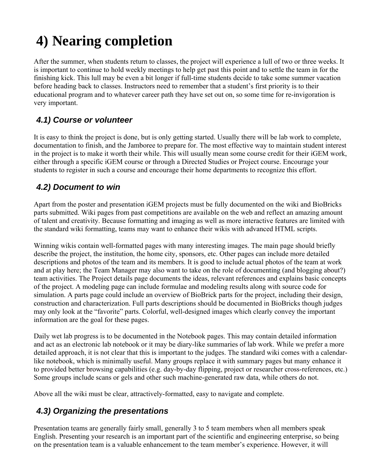# **4) Nearing completion**

After the summer, when students return to classes, the project will experience a lull of two or three weeks. It is important to continue to hold weekly meetings to help get past this point and to settle the team in for the finishing kick. This lull may be even a bit longer if full-time students decide to take some summer vacation before heading back to classes. Instructors need to remember that a student's first priority is to their educational program and to whatever career path they have set out on, so some time for re-invigoration is very important.

# *4.1) Course or volunteer*

It is easy to think the project is done, but is only getting started. Usually there will be lab work to complete, documentation to finish, and the Jamboree to prepare for. The most effective way to maintain student interest in the project is to make it worth their while. This will usually mean some course credit for their iGEM work, either through a specific iGEM course or through a Directed Studies or Project course. Encourage your students to register in such a course and encourage their home departments to recognize this effort.

#### *4.2) Document to win*

Apart from the poster and presentation iGEM projects must be fully documented on the wiki and BioBricks parts submitted. Wiki pages from past competitions are available on the web and reflect an amazing amount of talent and creativity. Because formatting and imaging as well as more interactive features are limited with the standard wiki formatting, teams may want to enhance their wikis with advanced HTML scripts.

Winning wikis contain well-formatted pages with many interesting images. The main page should briefly describe the project, the institution, the home city, sponsors, etc. Other pages can include more detailed descriptions and photos of the team and its members. It is good to include actual photos of the team at work and at play here; the Team Manager may also want to take on the role of documenting (and blogging about?) team activities. The Project details page documents the ideas, relevant references and explains basic concepts of the project. A modeling page can include formulae and modeling results along with source code for simulation. A parts page could include an overview of BioBrick parts for the project, including their design, construction and characterization. Full parts descriptions should be documented in BioBricks though judges may only look at the "favorite" parts. Colorful, well-designed images which clearly convey the important information are the goal for these pages.

Daily wet lab progress is to be documented in the Notebook pages. This may contain detailed information and act as an electronic lab notebook or it may be diary-like summaries of lab work. While we prefer a more detailed approach, it is not clear that this is important to the judges. The standard wiki comes with a calendarlike notebook, which is minimally useful. Many groups replace it with summary pages but many enhance it to provided better browsing capabilities (e.g. day-by-day flipping, project or researcher cross-references, etc.) Some groups include scans or gels and other such machine-generated raw data, while others do not.

Above all the wiki must be clear, attractively-formatted, easy to navigate and complete.

# *4.3) Organizing the presentations*

Presentation teams are generally fairly small, generally 3 to 5 team members when all members speak English. Presenting your research is an important part of the scientific and engineering enterprise, so being on the presentation team is a valuable enhancement to the team member's experience. However, it will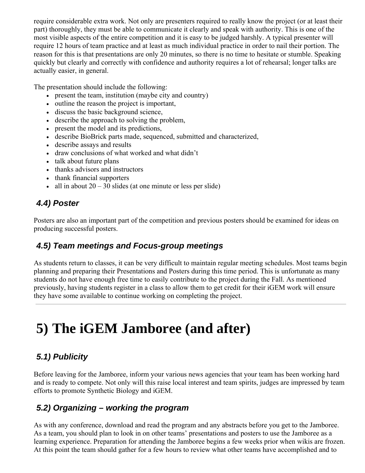require considerable extra work. Not only are presenters required to really know the project (or at least their part) thoroughly, they must be able to communicate it clearly and speak with authority. This is one of the most visible aspects of the entire competition and it is easy to be judged harshly. A typical presenter will require 12 hours of team practice and at least as much individual practice in order to nail their portion. The reason for this is that presentations are only 20 minutes, so there is no time to hesitate or stumble. Speaking quickly but clearly and correctly with confidence and authority requires a lot of rehearsal; longer talks are actually easier, in general.

The presentation should include the following:

- present the team, institution (maybe city and country)
- outline the reason the project is important,
- discuss the basic background science,
- describe the approach to solving the problem,
- present the model and its predictions,
- describe BioBrick parts made, sequenced, submitted and characterized,
- describe assays and results
- draw conclusions of what worked and what didn't
- talk about future plans
- thanks advisors and instructors
- thank financial supporters
- all in about  $20 30$  slides (at one minute or less per slide)

# *4.4) Poster*

Posters are also an important part of the competition and previous posters should be examined for ideas on producing successful posters.

# *4.5) Team meetings and Focus-group meetings*

As students return to classes, it can be very difficult to maintain regular meeting schedules. Most teams begin planning and preparing their Presentations and Posters during this time period. This is unfortunate as many students do not have enough free time to easily contribute to the project during the Fall. As mentioned previously, having students register in a class to allow them to get credit for their iGEM work will ensure they have some available to continue working on completing the project.

# **5) The iGEM Jamboree (and after)**

# *5.1) Publicity*

Before leaving for the Jamboree, inform your various news agencies that your team has been working hard and is ready to compete. Not only will this raise local interest and team spirits, judges are impressed by team efforts to promote Synthetic Biology and iGEM.

# *5.2) Organizing – working the program*

As with any conference, download and read the program and any abstracts before you get to the Jamboree. As a team, you should plan to look in on other teams' presentations and posters to use the Jamboree as a learning experience. Preparation for attending the Jamboree begins a few weeks prior when wikis are frozen. At this point the team should gather for a few hours to review what other teams have accomplished and to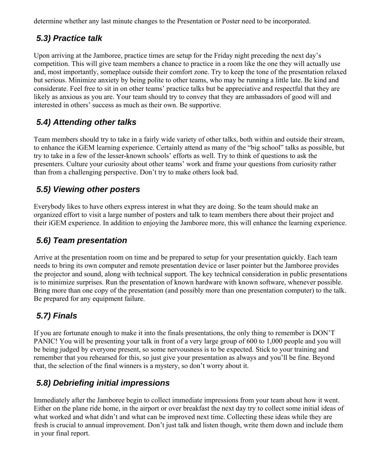determine whether any last minute changes to the Presentation or Poster need to be incorporated.

# *5.3) Practice talk*

Upon arriving at the Jamboree, practice times are setup for the Friday night preceding the next day's competition. This will give team members a chance to practice in a room like the one they will actually use and, most importantly, someplace outside their comfort zone. Try to keep the tone of the presentation relaxed but serious. Minimize anxiety by being polite to other teams, who may be running a little late. Be kind and considerate. Feel free to sit in on other teams' practice talks but be appreciative and respectful that they are likely as anxious as you are. Your team should try to convey that they are ambassadors of good will and interested in others' success as much as their own. Be supportive.

# *5.4) Attending other talks*

Team members should try to take in a fairly wide variety of other talks, both within and outside their stream, to enhance the iGEM learning experience. Certainly attend as many of the "big school" talks as possible, but try to take in a few of the lesser-known schools' efforts as well. Try to think of questions to ask the presenters. Culture your curiosity about other teams' work and frame your questions from curiosity rather than from a challenging perspective. Don't try to make others look bad.

### *5.5) Viewing other posters*

Everybody likes to have others express interest in what they are doing. So the team should make an organized effort to visit a large number of posters and talk to team members there about their project and their iGEM experience. In addition to enjoying the Jamboree more, this will enhance the learning experience.

#### *5.6) Team presentation*

Arrive at the presentation room on time and be prepared to setup for your presentation quickly. Each team needs to bring its own computer and remote presentation device or laser pointer but the Jamboree provides the projector and sound, along with technical support. The key technical consideration in public presentations is to minimize surprises. Run the presentation of known hardware with known software, whenever possible. Bring more than one copy of the presentation (and possibly more than one presentation computer) to the talk. Be prepared for any equipment failure.

# *5.7) Finals*

If you are fortunate enough to make it into the finals presentations, the only thing to remember is DON'T PANIC! You will be presenting your talk in front of a very large group of 600 to 1,000 people and you will be being judged by everyone present, so some nervousness is to be expected. Stick to your training and remember that you rehearsed for this, so just give your presentation as always and you'll be fine. Beyond that, the selection of the final winners is a mystery, so don't worry about it.

# *5.8) Debriefing initial impressions*

Immediately after the Jamboree begin to collect immediate impressions from your team about how it went. Either on the plane ride home, in the airport or over breakfast the next day try to collect some initial ideas of what worked and what didn't and what can be improved next time. Collecting these ideas while they are fresh is crucial to annual improvement. Don't just talk and listen though, write them down and include them in your final report.